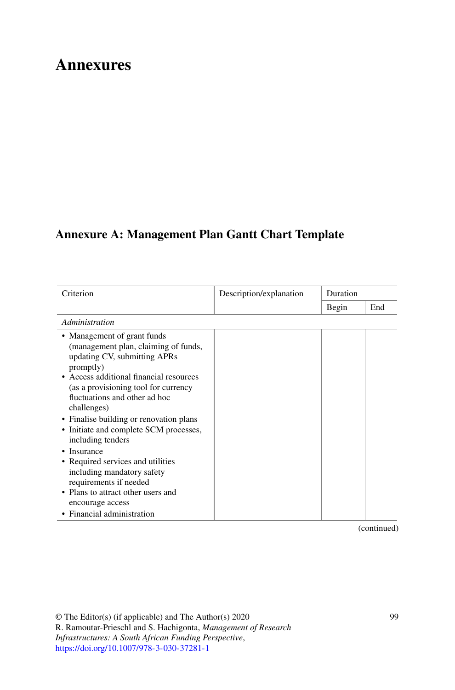# **Annexures**

## **Annexure A: Management Plan Gantt Chart Template**

| Criterion                                                                                                                                                                                                                                                                                                                                                     | Description/explanation | Duration |     |
|---------------------------------------------------------------------------------------------------------------------------------------------------------------------------------------------------------------------------------------------------------------------------------------------------------------------------------------------------------------|-------------------------|----------|-----|
|                                                                                                                                                                                                                                                                                                                                                               |                         | Begin    | End |
| Administration                                                                                                                                                                                                                                                                                                                                                |                         |          |     |
| • Management of grant funds<br>(management plan, claiming of funds,<br>updating CV, submitting APRs<br>promptly)<br>• Access additional financial resources<br>(as a provisioning tool for currency<br>fluctuations and other ad hoc<br>challenges)<br>• Finalise building or renovation plans<br>• Initiate and complete SCM processes,<br>including tenders |                         |          |     |
| • Insurance<br>• Required services and utilities<br>including mandatory safety<br>requirements if needed<br>• Plans to attract other users and<br>encourage access<br>• Financial administration                                                                                                                                                              |                         |          |     |

(continued)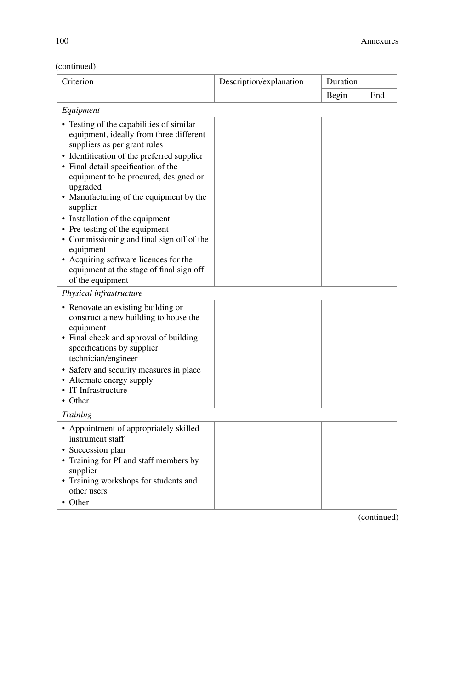### (continued)

| Criterion                                                                                                                                                                                                                                                                                                                                                                                                                                                                                                                                                    | Description/explanation | Duration |     |
|--------------------------------------------------------------------------------------------------------------------------------------------------------------------------------------------------------------------------------------------------------------------------------------------------------------------------------------------------------------------------------------------------------------------------------------------------------------------------------------------------------------------------------------------------------------|-------------------------|----------|-----|
|                                                                                                                                                                                                                                                                                                                                                                                                                                                                                                                                                              |                         | Begin    | End |
| Equipment                                                                                                                                                                                                                                                                                                                                                                                                                                                                                                                                                    |                         |          |     |
| • Testing of the capabilities of similar<br>equipment, ideally from three different<br>suppliers as per grant rules<br>• Identification of the preferred supplier<br>• Final detail specification of the<br>equipment to be procured, designed or<br>upgraded<br>• Manufacturing of the equipment by the<br>supplier<br>• Installation of the equipment<br>• Pre-testing of the equipment<br>• Commissioning and final sign off of the<br>equipment<br>• Acquiring software licences for the<br>equipment at the stage of final sign off<br>of the equipment |                         |          |     |
| Physical infrastructure                                                                                                                                                                                                                                                                                                                                                                                                                                                                                                                                      |                         |          |     |
| • Renovate an existing building or<br>construct a new building to house the<br>equipment<br>• Final check and approval of building<br>specifications by supplier<br>technician/engineer<br>• Safety and security measures in place<br>• Alternate energy supply<br>• IT Infrastructure<br>• Other                                                                                                                                                                                                                                                            |                         |          |     |
| Training                                                                                                                                                                                                                                                                                                                                                                                                                                                                                                                                                     |                         |          |     |
| • Appointment of appropriately skilled<br>instrument staff<br>• Succession plan<br>• Training for PI and staff members by<br>supplier<br>• Training workshops for students and<br>other users<br>• Other                                                                                                                                                                                                                                                                                                                                                     |                         |          |     |

(continued)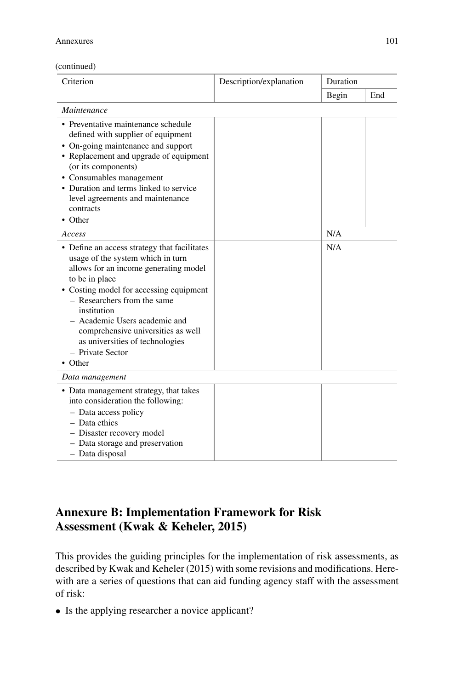#### Annexures 101

| (continued) |
|-------------|
|-------------|

| Criterion                                                                                                                                                                                                                                                                                                                                                                      | Description/explanation | Duration |     |
|--------------------------------------------------------------------------------------------------------------------------------------------------------------------------------------------------------------------------------------------------------------------------------------------------------------------------------------------------------------------------------|-------------------------|----------|-----|
|                                                                                                                                                                                                                                                                                                                                                                                |                         | Begin    | End |
| Maintenance                                                                                                                                                                                                                                                                                                                                                                    |                         |          |     |
| • Preventative maintenance schedule<br>defined with supplier of equipment<br>• On-going maintenance and support<br>• Replacement and upgrade of equipment<br>(or its components)<br>• Consumables management<br>• Duration and terms linked to service<br>level agreements and maintenance<br>contracts<br>$\bullet$ Other                                                     |                         |          |     |
| Access                                                                                                                                                                                                                                                                                                                                                                         |                         | N/A      |     |
| • Define an access strategy that facilitates<br>usage of the system which in turn<br>allows for an income generating model<br>to be in place<br>• Costing model for accessing equipment<br>- Researchers from the same<br>institution<br>- Academic Users academic and<br>comprehensive universities as well<br>as universities of technologies<br>- Private Sector<br>• Other |                         | N/A      |     |
| Data management                                                                                                                                                                                                                                                                                                                                                                |                         |          |     |
| • Data management strategy, that takes<br>into consideration the following:<br>- Data access policy<br>- Data ethics<br>- Disaster recovery model<br>- Data storage and preservation<br>- Data disposal                                                                                                                                                                        |                         |          |     |

### **Annexure B: Implementation Framework for Risk Assessment (Kwak & Keheler, 2015)**

This provides the guiding principles for the implementation of risk assessments, as described by Kwak and Keheler (2015) with some revisions and modifications. Herewith are a series of questions that can aid funding agency staff with the assessment of risk:

• Is the applying researcher a novice applicant?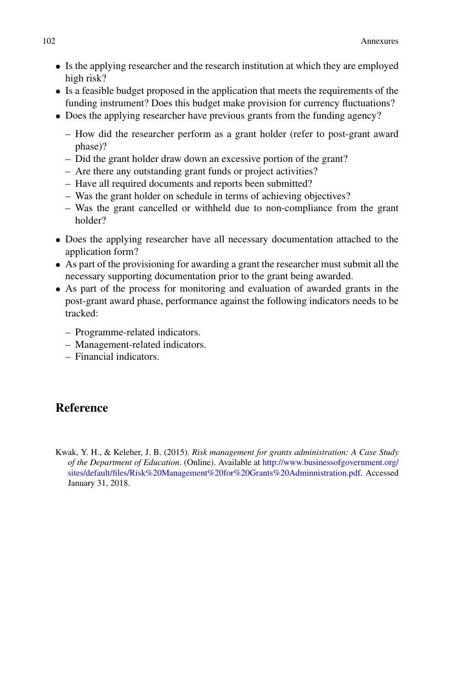- Is the applying researcher and the research institution at which they are employed high risk?
- Is a feasible budget proposed in the application that meets the requirements of the funding instrument? Does this budget make provision for currency fluctuations?
- Does the applying researcher have previous grants from the funding agency?
	- How did the researcher perform as a grant holder (refer to post-grant award phase)?
	- Did the grant holder draw down an excessive portion of the grant?
	- Are there any outstanding grant funds or project activities?
	- Have all required documents and reports been submitted?
	- Was the grant holder on schedule in terms of achieving objectives?
	- Was the grant cancelled or withheld due to non-compliance from the grant holder?
- Does the applying researcher have all necessary documentation attached to the application form?
- As part of the provisioning for awarding a grant the researcher must submit all the necessary supporting documentation prior to the grant being awarded.
- As part of the process for monitoring and evaluation of awarded grants in the post-grant award phase, performance against the following indicators needs to be tracked:
	- Programme-related indicators.
	- Management-related indicators.
	- Financial indicators.

### **Reference**

Kwak, Y. H., & Keleher, J. B. (2015). *Risk management for grants administration: A Case Study of the Department of Education*. (Online). Available at http://www.businessofgovernment.org/ [sites/default/files/Risk%20Management%20for%20Grants%20Adminnistration.pdf. Accessed](http://www.businessofgovernment.org/sites/default/files/Risk%20Management%20for%20Grants%20Adminnistration.pdf) January 31, 2018.